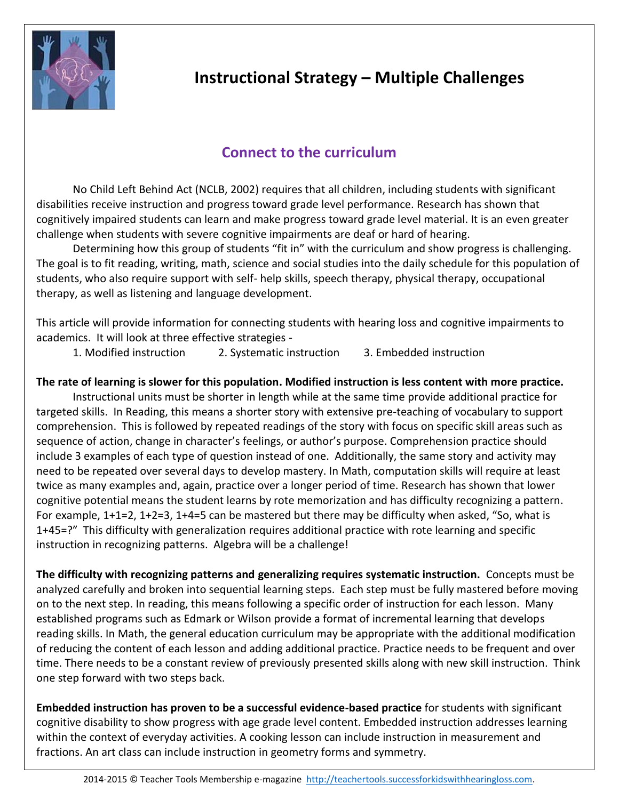

# **Instructional Strategy – Multiple Challenges**

# **Connect to the curriculum**

No Child Left Behind Act (NCLB, 2002) requires that all children, including students with significant disabilities receive instruction and progress toward grade level performance. Research has shown that cognitively impaired students can learn and make progress toward grade level material. It is an even greater challenge when students with severe cognitive impairments are deaf or hard of hearing.

Determining how this group of students "fit in" with the curriculum and show progress is challenging. The goal is to fit reading, writing, math, science and social studies into the daily schedule for this population of students, who also require support with self- help skills, speech therapy, physical therapy, occupational therapy, as well as listening and language development.

This article will provide information for connecting students with hearing loss and cognitive impairments to academics. It will look at three effective strategies -

1. Modified instruction 2. Systematic instruction 3. Embedded instruction

### **The rate of learning is slower for this population. Modified instruction is less content with more practice.**

Instructional units must be shorter in length while at the same time provide additional practice for targeted skills. In Reading, this means a shorter story with extensive pre-teaching of vocabulary to support comprehension. This is followed by repeated readings of the story with focus on specific skill areas such as sequence of action, change in character's feelings, or author's purpose. Comprehension practice should include 3 examples of each type of question instead of one. Additionally, the same story and activity may need to be repeated over several days to develop mastery. In Math, computation skills will require at least twice as many examples and, again, practice over a longer period of time. Research has shown that lower cognitive potential means the student learns by rote memorization and has difficulty recognizing a pattern. For example, 1+1=2, 1+2=3, 1+4=5 can be mastered but there may be difficulty when asked, "So, what is 1+45=?" This difficulty with generalization requires additional practice with rote learning and specific instruction in recognizing patterns. Algebra will be a challenge!

**The difficulty with recognizing patterns and generalizing requires systematic instruction.** Concepts must be analyzed carefully and broken into sequential learning steps. Each step must be fully mastered before moving on to the next step. In reading, this means following a specific order of instruction for each lesson. Many established programs such as Edmark or Wilson provide a format of incremental learning that develops reading skills. In Math, the general education curriculum may be appropriate with the additional modification of reducing the content of each lesson and adding additional practice. Practice needs to be frequent and over time. There needs to be a constant review of previously presented skills along with new skill instruction. Think one step forward with two steps back.

**Embedded instruction has proven to be a successful evidence-based practice** for students with significant cognitive disability to show progress with age grade level content. Embedded instruction addresses learning within the context of everyday activities. A cooking lesson can include instruction in measurement and fractions. An art class can include instruction in geometry forms and symmetry.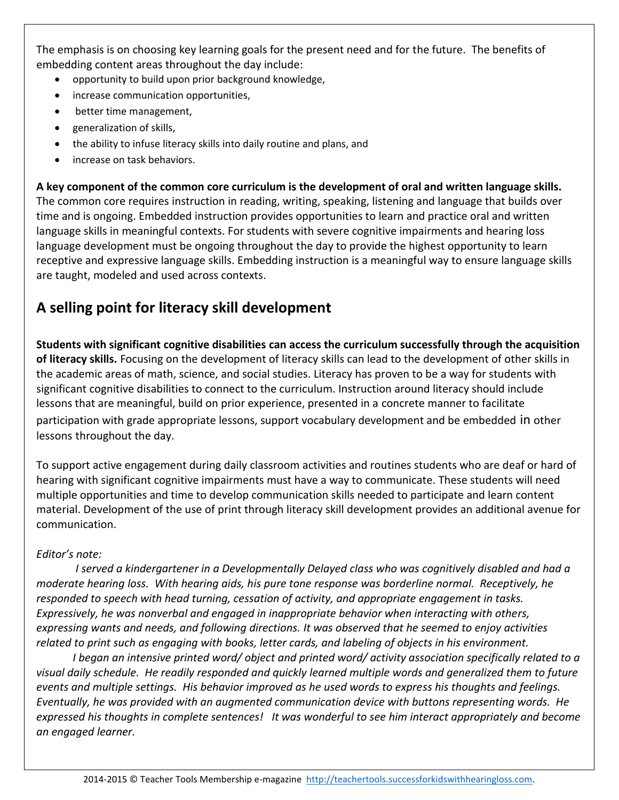The emphasis is on choosing key learning goals for the present need and for the future. The benefits of embedding content areas throughout the day include:

- opportunity to build upon prior background knowledge,
- increase communication opportunities,
- better time management,
- generalization of skills,
- the ability to infuse literacy skills into daily routine and plans, and
- increase on task behaviors.

**A key component of the common core curriculum is the development of oral and written language skills.** The common core requires instruction in reading, writing, speaking, listening and language that builds over time and is ongoing. Embedded instruction provides opportunities to learn and practice oral and written language skills in meaningful contexts. For students with severe cognitive impairments and hearing loss language development must be ongoing throughout the day to provide the highest opportunity to learn receptive and expressive language skills. Embedding instruction is a meaningful way to ensure language skills are taught, modeled and used across contexts.

# **A selling point for literacy skill development**

**Students with significant cognitive disabilities can access the curriculum successfully through the acquisition of literacy skills.** Focusing on the development of literacy skills can lead to the development of other skills in the academic areas of math, science, and social studies. Literacy has proven to be a way for students with significant cognitive disabilities to connect to the curriculum. Instruction around literacy should include lessons that are meaningful, build on prior experience, presented in a concrete manner to facilitate participation with grade appropriate lessons, support vocabulary development and be embedded in other lessons throughout the day.

To support active engagement during daily classroom activities and routines students who are deaf or hard of hearing with significant cognitive impairments must have a way to communicate. These students will need multiple opportunities and time to develop communication skills needed to participate and learn content material. Development of the use of print through literacy skill development provides an additional avenue for communication.

### *Editor's note:*

*I served a kindergartener in a Developmentally Delayed class who was cognitively disabled and had a moderate hearing loss. With hearing aids, his pure tone response was borderline normal. Receptively, he responded to speech with head turning, cessation of activity, and appropriate engagement in tasks. Expressively, he was nonverbal and engaged in inappropriate behavior when interacting with others, expressing wants and needs, and following directions. It was observed that he seemed to enjoy activities related to print such as engaging with books, letter cards, and labeling of objects in his environment.* 

*I began an intensive printed word/ object and printed word/ activity association specifically related to a visual daily schedule. He readily responded and quickly learned multiple words and generalized them to future events and multiple settings. His behavior improved as he used words to express his thoughts and feelings. Eventually, he was provided with an augmented communication device with buttons representing words. He expressed his thoughts in complete sentences! It was wonderful to see him interact appropriately and become an engaged learner.*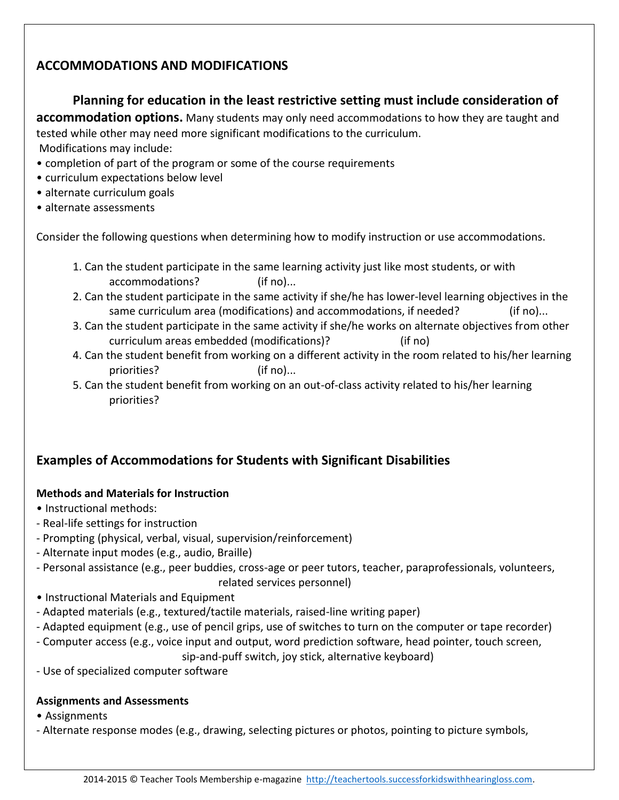## **ACCOMMODATIONS AND MODIFICATIONS**

### **Planning for education in the least restrictive setting must include consideration of**

**accommodation options.** Many students may only need accommodations to how they are taught and tested while other may need more significant modifications to the curriculum. Modifications may include:

- completion of part of the program or some of the course requirements
- curriculum expectations below level
- alternate curriculum goals
- alternate assessments

Consider the following questions when determining how to modify instruction or use accommodations.

- 1. Can the student participate in the same learning activity just like most students, or with accommodations? (if no)...
- 2. Can the student participate in the same activity if she/he has lower-level learning objectives in the same curriculum area (modifications) and accommodations, if needed? (if no)...
- 3. Can the student participate in the same activity if she/he works on alternate objectives from other curriculum areas embedded (modifications)? (if no)
- 4. Can the student benefit from working on a different activity in the room related to his/her learning priorities? (if no)...
- 5. Can the student benefit from working on an out-of-class activity related to his/her learning priorities?

## **Examples of Accommodations for Students with Significant Disabilities**

### **Methods and Materials for Instruction**

- Instructional methods:
- Real-life settings for instruction
- Prompting (physical, verbal, visual, supervision/reinforcement)
- Alternate input modes (e.g., audio, Braille)
- Personal assistance (e.g., peer buddies, cross-age or peer tutors, teacher, paraprofessionals, volunteers,
	- related services personnel)
- Instructional Materials and Equipment
- Adapted materials (e.g., textured/tactile materials, raised-line writing paper)
- Adapted equipment (e.g., use of pencil grips, use of switches to turn on the computer or tape recorder)
- Computer access (e.g., voice input and output, word prediction software, head pointer, touch screen,

sip-and-puff switch, joy stick, alternative keyboard)

- Use of specialized computer software

### **Assignments and Assessments**

- Assignments
- Alternate response modes (e.g., drawing, selecting pictures or photos, pointing to picture symbols,